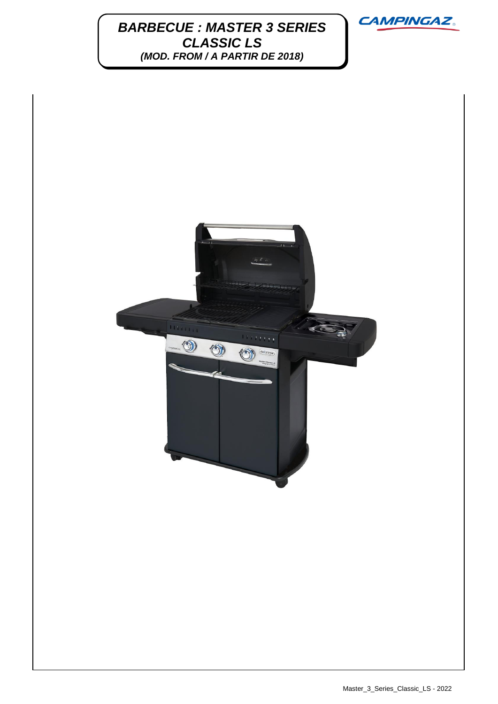**BARBECUE : MASTER 3 SERIES**  $\overline{M}$ *CLASSIC LS (MOD. FROM / A PARTIR DE 2018)*





Master\_3\_Series\_Classic\_LS - 2022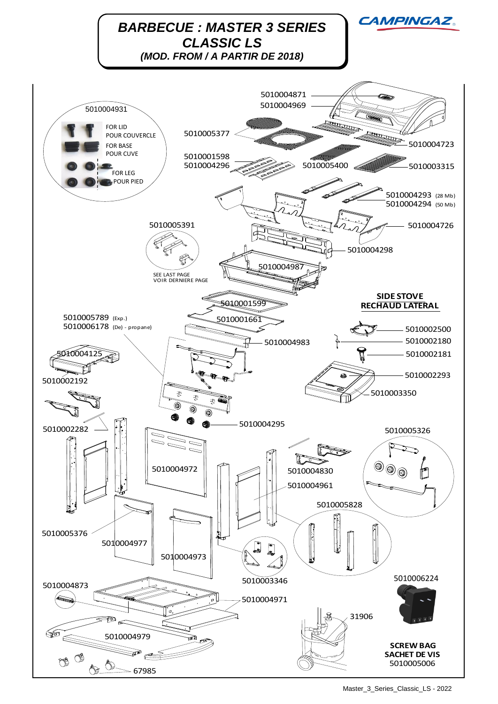

Master\_3\_Series\_Classic\_LS - 2022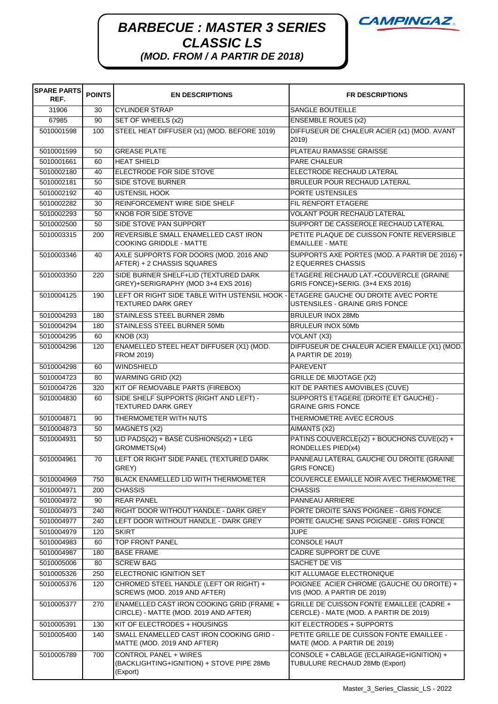## **BARBECUE : MASTER 3 SERIES**  $\overline{M}$ *CLASSIC LS (MOD. FROM / A PARTIR DE 2018)*

| <b>SPARE PARTS</b><br>REF. | <b>POINTS</b> | <b>EN DESCRIPTIONS</b>                                                             | <b>FR DESCRIPTIONS</b>                                                              |
|----------------------------|---------------|------------------------------------------------------------------------------------|-------------------------------------------------------------------------------------|
| 31906                      | 30            | <b>CYLINDER STRAP</b>                                                              | SANGLE BOUTEILLE                                                                    |
| 67985                      | 90            | SET OF WHEELS (x2)                                                                 | <b>ENSEMBLE ROUES (x2)</b>                                                          |
| 5010001598                 | 100           | STEEL HEAT DIFFUSER (x1) (MOD. BEFORE 1019)                                        | DIFFUSEUR DE CHALEUR ACIER (x1) (MOD. AVANT<br>2019)                                |
| 5010001599                 | 50            | <b>GREASE PLATE</b>                                                                | PLATEAU RAMASSE GRAISSE                                                             |
| 5010001661                 | 60            | <b>HEAT SHIELD</b>                                                                 | PARE CHALEUR                                                                        |
| 5010002180                 | 40            | ELECTRODE FOR SIDE STOVE                                                           | ELECTRODE RECHAUD LATERAL                                                           |
| 5010002181                 | 50            | <b>SIDE STOVE BURNER</b>                                                           | <b>BRULEUR POUR RECHAUD LATERAL</b>                                                 |
| 5010002192                 | 40            | <b>USTENSIL HOOK</b>                                                               | PORTE USTENSILES                                                                    |
| 5010002282                 | 30            | REINFORCEMENT WIRE SIDE SHELF                                                      | FIL RENFORT ETAGERE                                                                 |
| 5010002293                 | 50            | <b>KNOB FOR SIDE STOVE</b>                                                         | VOLANT POUR RECHAUD LATERAL                                                         |
| 5010002500                 | 50            | SIDE STOVE PAN SUPPORT                                                             | SUPPORT DE CASSEROLE RECHAUD LATERAL                                                |
| 5010003315                 | 200           | REVERSIBLE SMALL ENAMELLED CAST IRON<br><b>COOKING GRIDDLE - MATTE</b>             | PETITE PLAQUE DE CUISSON FONTE REVERSIBLE<br><b>EMAILLEE - MATE</b>                 |
| 5010003346                 | 40            | AXLE SUPPORTS FOR DOORS (MOD. 2016 AND<br>AFTER) + 2 CHASSIS SQUARES               | SUPPORTS AXE PORTES (MOD. A PARTIR DE 2016) +<br>2 EQUERRES CHASSIS                 |
| 5010003350                 | 220           | SIDE BURNER SHELF+LID (TEXTURED DARK<br>GREY)+SERIGRAPHY (MOD 3+4 EXS 2016)        | ETAGERE RECHAUD LAT.+COUVERCLE (GRAINE<br>GRIS FONCE)+SERIG. (3+4 EXS 2016)         |
| 5010004125                 | 190           | LEFT OR RIGHT SIDE TABLE WITH USTENSIL HOOK -<br><b>TEXTURED DARK GREY</b>         | ETAGERE GAUCHE OU DROITE AVEC PORTE<br>USTENSILES - GRAINE GRIS FONCE               |
| 5010004293                 | 180           | STAINLESS STEEL BURNER 28Mb                                                        | <b>BRULEUR INOX 28Mb</b>                                                            |
| 5010004294                 | 180           | STAINLESS STEEL BURNER 50Mb                                                        | <b>BRULEUR INOX 50Mb</b>                                                            |
| 5010004295                 | 60            | KNOB(X3)                                                                           | VOLANT (X3)                                                                         |
| 5010004296                 | 120           | ENAMELLED STEEL HEAT DIFFUSER (X1) (MOD.<br>FROM 2019)                             | DIFFUSEUR DE CHALEUR ACIER EMAILLE (X1) (MOD.<br>A PARTIR DE 2019)                  |
| 5010004298                 | 60            | <b>WINDSHIELD</b>                                                                  | <b>PAREVENT</b>                                                                     |
| 5010004723                 | 80            | <b>WARMING GRID (X2)</b>                                                           | <b>GRILLE DE MIJOTAGE (X2)</b>                                                      |
| 5010004726                 | 320           | KIT OF REMOVABLE PARTS (FIREBOX)                                                   | KIT DE PARTIES AMOVIBLES (CUVE)                                                     |
| 5010004830                 | 60            | SIDE SHELF SUPPORTS (RIGHT AND LEFT) -<br><b>TEXTURED DARK GREY</b>                | SUPPORTS ETAGERE (DROITE ET GAUCHE) -<br><b>GRAINE GRIS FONCE</b>                   |
| 5010004871                 | 90            | THERMOMETER WITH NUTS                                                              | THERMOMETRE AVEC ECROUS                                                             |
| 5010004873                 | 50            | MAGNETS (X2)                                                                       | AIMANTS (X2)                                                                        |
| 5010004931                 | 50            | LID PADS(x2) + BASE CUSHIONS(x2) + LEG<br>GROMMETS(x4)                             | PATINS COUVERCLE(x2) + BOUCHONS CUVE(x2) +<br>RONDELLES PIED(x4)                    |
| 5010004961                 | 70            | LEFT OR RIGHT SIDE PANEL (TEXTURED DARK<br>GREY)                                   | PANNEAU LATERAL GAUCHE OU DROITE (GRAINE<br><b>GRIS FONCE)</b>                      |
| 5010004969                 | 750           | BLACK ENAMELLED LID WITH THERMOMETER                                               | COUVERCLE EMAILLE NOIR AVEC THERMOMETRE                                             |
| 5010004971                 | 200           | <b>CHASSIS</b>                                                                     | CHASSIS                                                                             |
| 5010004972                 | 90            | <b>REAR PANEL</b>                                                                  | PANNEAU ARRIERE                                                                     |
| 5010004973                 | 240           | RIGHT DOOR WITHOUT HANDLE - DARK GREY                                              | PORTE DROITE SANS POIGNEE - GRIS FONCE                                              |
| 5010004977<br>5010004979   | 240<br>120    | LEFT DOOR WITHOUT HANDLE - DARK GREY<br><b>SKIRT</b>                               | PORTE GAUCHE SANS POIGNEE - GRIS FONCE<br><b>JUPE</b>                               |
| 5010004983                 | 60            | <b>TOP FRONT PANEL</b>                                                             | <b>CONSOLE HAUT</b>                                                                 |
| 5010004987                 | 180           | <b>BASE FRAME</b>                                                                  | CADRE SUPPORT DE CUVE                                                               |
| 5010005006                 | 80            | <b>SCREW BAG</b>                                                                   | SACHET DE VIS                                                                       |
| 5010005326                 | 250           | ELECTRONIC IGNITION SET                                                            | KIT ALLUMAGE ELECTRONIQUE                                                           |
| 5010005376                 | 120           | CHROMED STEEL HANDLE (LEFT OR RIGHT) +<br>SCREWS (MOD. 2019 AND AFTER)             | POIGNEE ACIER CHROME (GAUCHE OU DROITE) +<br>VIS (MOD. A PARTIR DE 2019)            |
| 5010005377                 | 270           | ENAMELLED CAST IRON COOKING GRID (FRAME +<br>CIRCLE) - MATTE (MOD. 2019 AND AFTER) | GRILLE DE CUISSON FONTE EMAILLEE (CADRE +<br>CERCLE) - MATE (MOD. A PARTIR DE 2019) |
| 5010005391                 | 130           | KIT OF ELECTRODES + HOUSINGS                                                       | KIT ELECTRODES + SUPPORTS                                                           |
| 5010005400                 | 140           | SMALL ENAMELLED CAST IRON COOKING GRID -<br>MATTE (MOD. 2019 AND AFTER)            | PETITE GRILLE DE CUISSON FONTE EMAILLEE -<br>MATE (MOD. A PARTIR DE 2019)           |
| 5010005789                 | 700           | CONTROL PANEL + WIRES<br>(BACKLIGHTING+IGNITION) + STOVE PIPE 28Mb<br>(Export)     | CONSOLE + CABLAGE (ECLAIRAGE+IGNITION) +<br>TUBULURE RECHAUD 28Mb (Export)          |